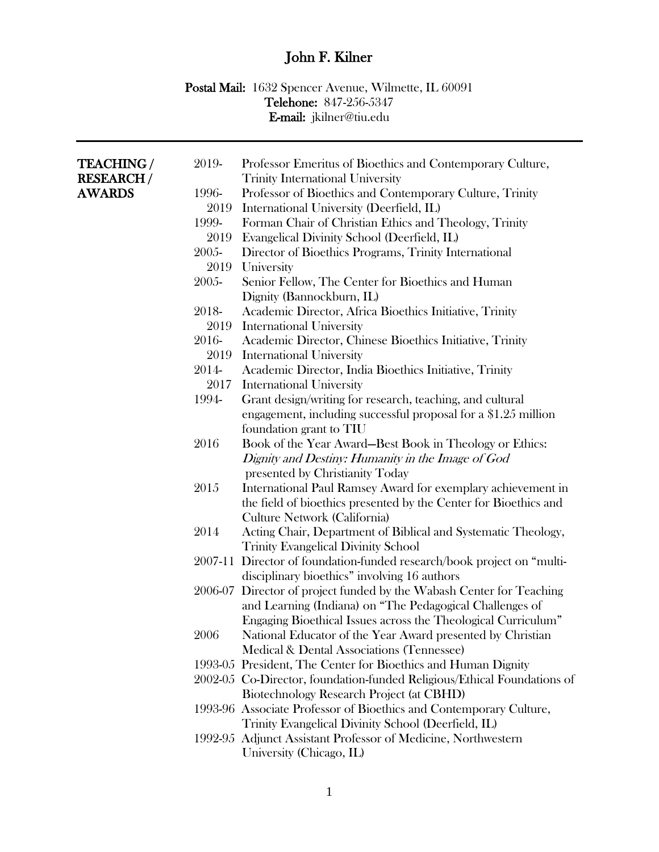## John F. Kilner

## Postal Mail: 1632 Spencer Avenue, Wilmette, IL 60091 Telehone: 847-256-5347 E-mail: jkilner@tiu.edu

| <b>TEACHING /</b> | 2019-   | Professor Emeritus of Bioethics and Contemporary Culture,               |
|-------------------|---------|-------------------------------------------------------------------------|
| <b>RESEARCH/</b>  |         | <b>Trinity International University</b>                                 |
| <b>AWARDS</b>     | 1996-   | Professor of Bioethics and Contemporary Culture, Trinity                |
|                   | 2019    | International University (Deerfield, IL)                                |
|                   | 1999-   | Forman Chair of Christian Ethics and Theology, Trinity                  |
|                   | 2019    | Evangelical Divinity School (Deerfield, IL)                             |
|                   | 2005-   | Director of Bioethics Programs, Trinity International                   |
|                   | 2019    | University                                                              |
|                   | 2005-   | Senior Fellow, The Center for Bioethics and Human                       |
|                   |         | Dignity (Bannockburn, IL)                                               |
|                   | 2018-   | Academic Director, Africa Bioethics Initiative, Trinity                 |
|                   | 2019    | <b>International University</b>                                         |
|                   | 2016-   | Academic Director, Chinese Bioethics Initiative, Trinity                |
|                   | 2019    | <b>International University</b>                                         |
|                   | 2014-   | Academic Director, India Bioethics Initiative, Trinity                  |
|                   | 2017    | <b>International University</b>                                         |
|                   | 1994-   | Grant design/writing for research, teaching, and cultural               |
|                   |         | engagement, including successful proposal for a \$1.25 million          |
|                   |         | foundation grant to TIU                                                 |
|                   | 2016    | Book of the Year Award-Best Book in Theology or Ethics:                 |
|                   |         | Dignity and Destiny: Humanity in the Image of God                       |
|                   |         | presented by Christianity Today                                         |
|                   | 2015    | International Paul Ramsey Award for exemplary achievement in            |
|                   |         | the field of bioethics presented by the Center for Bioethics and        |
|                   |         | Culture Network (California)                                            |
|                   | 2014    | Acting Chair, Department of Biblical and Systematic Theology,           |
|                   |         | <b>Trinity Evangelical Divinity School</b>                              |
|                   | 2007-11 | Director of foundation-funded research/book project on "multi-          |
|                   |         | disciplinary bioethics" involving 16 authors                            |
|                   |         | 2006-07 Director of project funded by the Wabash Center for Teaching    |
|                   |         | and Learning (Indiana) on "The Pedagogical Challenges of                |
|                   |         | Engaging Bioethical Issues across the Theological Curriculum"           |
|                   | 2006    | National Educator of the Year Award presented by Christian              |
|                   |         | Medical & Dental Associations (Tennessee)                               |
|                   |         | 1993-05 President, The Center for Bioethics and Human Dignity           |
|                   |         | 2002-05 Co-Director, foundation-funded Religious/Ethical Foundations of |
|                   |         | Biotechnology Research Project (at CBHD)                                |
|                   |         | 1993-96 Associate Professor of Bioethics and Contemporary Culture,      |
|                   |         | Trinity Evangelical Divinity School (Deerfield, IL)                     |
|                   |         | 1992-95 Adjunct Assistant Professor of Medicine, Northwestern           |
|                   |         | University (Chicago, IL)                                                |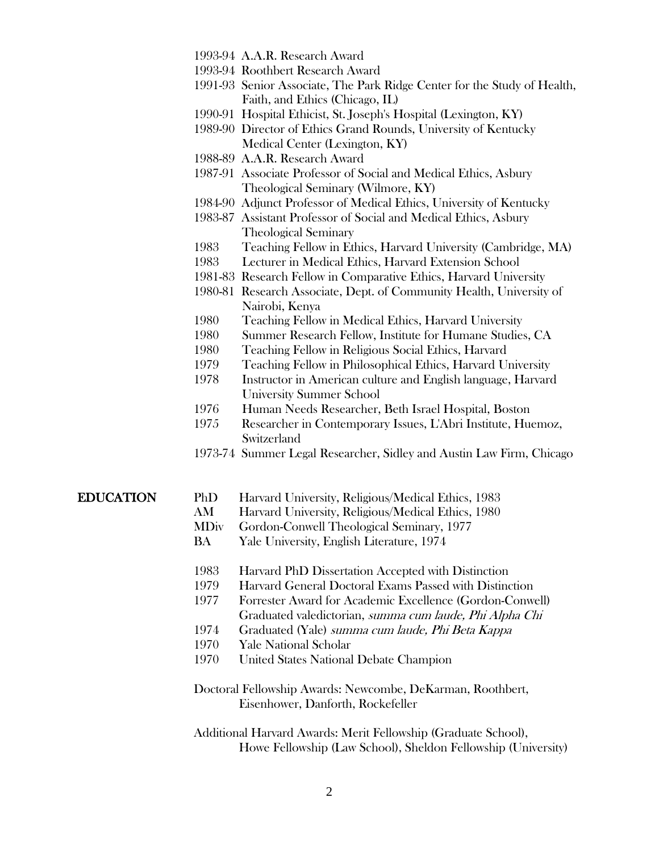- 1993-94 A.A.R. Research Award
- 1993-94 Roothbert Research Award
- 1991-93 Senior Associate, The Park Ridge Center for the Study of Health, Faith, and Ethics (Chicago, IL)
- 1990-91 Hospital Ethicist, St. Joseph's Hospital (Lexington, KY)
- 1989-90 Director of Ethics Grand Rounds, University of Kentucky Medical Center (Lexington, KY)
- 1988-89 A.A.R. Research Award
- 1987-91 Associate Professor of Social and Medical Ethics, Asbury Theological Seminary (Wilmore, KY)
- 1984-90 Adjunct Professor of Medical Ethics, University of Kentucky
- 1983-87 Assistant Professor of Social and Medical Ethics, Asbury Theological Seminary
- 1983 Teaching Fellow in Ethics, Harvard University (Cambridge, MA)
- 1983 Lecturer in Medical Ethics, Harvard Extension School
- 1981-83 Research Fellow in Comparative Ethics, Harvard University
- 1980-81 Research Associate, Dept. of Community Health, University of Nairobi, Kenya
- 1980 Teaching Fellow in Medical Ethics, Harvard University
- 1980 Summer Research Fellow, Institute for Humane Studies, CA
- 1980 Teaching Fellow in Religious Social Ethics, Harvard
- 1979 Teaching Fellow in Philosophical Ethics, Harvard University
- 1978 Instructor in American culture and English language, Harvard University Summer School
- 1976 Human Needs Researcher, Beth Israel Hospital, Boston
- 1975 Researcher in Contemporary Issues, L'Abri Institute, Huemoz, **Switzerland**
- 1973-74 Summer Legal Researcher, Sidley and Austin Law Firm, Chicago

EDUCATION PhD Harvard University, Religious/Medical Ethics, 1983

- AM Harvard University, Religious/Medical Ethics, 1980
- MDiv Gordon-Conwell Theological Seminary, 1977
- BA Yale University, English Literature, 1974
- 1983 Harvard PhD Dissertation Accepted with Distinction
- 1979 Harvard General Doctoral Exams Passed with Distinction
- 1977 Forrester Award for Academic Excellence (Gordon-Conwell) Graduated valedictorian, summa cum laude, Phi Alpha Chi
- 1974 Graduated (Yale) summa cum laude, Phi Beta Kappa
- 1970 Yale National Scholar
- 1970 United States National Debate Champion
- Doctoral Fellowship Awards: Newcombe, DeKarman, Roothbert, Eisenhower, Danforth, Rockefeller
- Additional Harvard Awards: Merit Fellowship (Graduate School), Howe Fellowship (Law School), Sheldon Fellowship (University)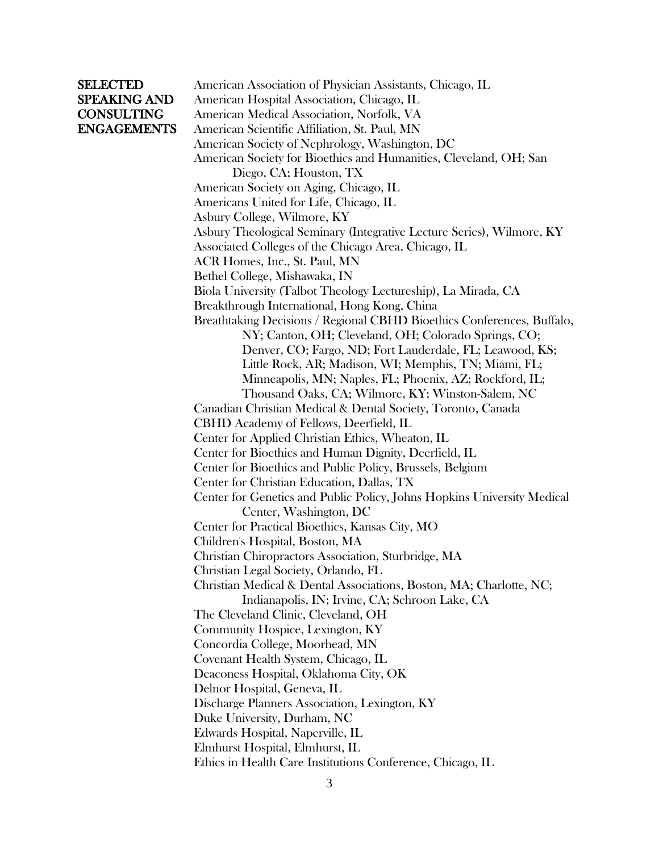SELECTED American Association of Physician Assistants, Chicago, IL SPEAKING AND American Hospital Association, Chicago, IL CONSULTING American Medical Association, Norfolk, VA ENGAGEMENTS American Scientific Affiliation, St. Paul, MN American Society of Nephrology, Washington, DC American Society for Bioethics and Humanities, Cleveland, OH; San Diego, CA; Houston, TX American Society on Aging, Chicago, IL Americans United for Life, Chicago, IL Asbury College, Wilmore, KY Asbury Theological Seminary (Integrative Lecture Series), Wilmore, KY Associated Colleges of the Chicago Area, Chicago, IL ACR Homes, Inc., St. Paul, MN Bethel College, Mishawaka, IN Biola University (Talbot Theology Lectureship), La Mirada, CA Breakthrough International, Hong Kong, China Breathtaking Decisions / Regional CBHD Bioethics Conferences, Buffalo, NY; Canton, OH; Cleveland, OH; Colorado Springs, CO; Denver, CO; Fargo, ND; Fort Lauderdale, FL; Leawood, KS; Little Rock, AR; Madison, WI; Memphis, TN; Miami, FL; Minneapolis, MN; Naples, FL; Phoenix, AZ; Rockford, IL; Thousand Oaks, CA; Wilmore, KY; Winston-Salem, NC Canadian Christian Medical & Dental Society, Toronto, Canada CBHD Academy of Fellows, Deerfield, IL Center for Applied Christian Ethics, Wheaton, IL Center for Bioethics and Human Dignity, Deerfield, IL Center for Bioethics and Public Policy, Brussels, Belgium Center for Christian Education, Dallas, TX Center for Genetics and Public Policy, Johns Hopkins University Medical Center, Washington, DC Center for Practical Bioethics, Kansas City, MO Children's Hospital, Boston, MA Christian Chiropractors Association, Sturbridge, MA Christian Legal Society, Orlando, FL Christian Medical & Dental Associations, Boston, MA; Charlotte, NC; Indianapolis, IN; Irvine, CA; Schroon Lake, CA The Cleveland Clinic, Cleveland, OH Community Hospice, Lexington, KY Concordia College, Moorhead, MN Covenant Health System, Chicago, IL Deaconess Hospital, Oklahoma City, OK Delnor Hospital, Geneva, IL Discharge Planners Association, Lexington, KY Duke University, Durham, NC Edwards Hospital, Naperville, IL Elmhurst Hospital, Elmhurst, IL Ethics in Health Care Institutions Conference, Chicago, IL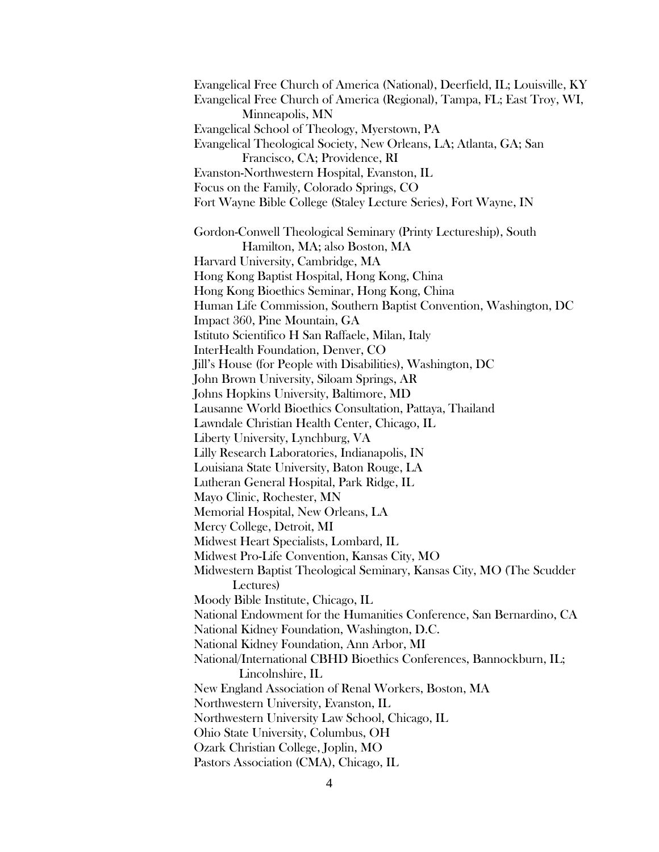Evangelical Free Church of America (National), Deerfield, IL; Louisville, KY Evangelical Free Church of America (Regional), Tampa, FL; East Troy, WI, Minneapolis, MN Evangelical School of Theology, Myerstown, PA Evangelical Theological Society, New Orleans, LA; Atlanta, GA; San Francisco, CA; Providence, RI Evanston-Northwestern Hospital, Evanston, IL Focus on the Family, Colorado Springs, CO Fort Wayne Bible College (Staley Lecture Series), Fort Wayne, IN Gordon-Conwell Theological Seminary (Printy Lectureship), South Hamilton, MA; also Boston, MA Harvard University, Cambridge, MA Hong Kong Baptist Hospital, Hong Kong, China Hong Kong Bioethics Seminar, Hong Kong, China Human Life Commission, Southern Baptist Convention, Washington, DC Impact 360, Pine Mountain, GA Istituto Scientifico H San Raffaele, Milan, Italy InterHealth Foundation, Denver, CO Jill's House (for People with Disabilities), Washington, DC John Brown University, Siloam Springs, AR Johns Hopkins University, Baltimore, MD Lausanne World Bioethics Consultation, Pattaya, Thailand Lawndale Christian Health Center, Chicago, IL Liberty University, Lynchburg, VA Lilly Research Laboratories, Indianapolis, IN Louisiana State University, Baton Rouge, LA Lutheran General Hospital, Park Ridge, IL Mayo Clinic, Rochester, MN Memorial Hospital, New Orleans, LA Mercy College, Detroit, MI Midwest Heart Specialists, Lombard, IL Midwest Pro-Life Convention, Kansas City, MO Midwestern Baptist Theological Seminary, Kansas City, MO (The Scudder Lectures) Moody Bible Institute, Chicago, IL National Endowment for the Humanities Conference, San Bernardino, CA National Kidney Foundation, Washington, D.C. National Kidney Foundation, Ann Arbor, MI National/International CBHD Bioethics Conferences, Bannockburn, IL; Lincolnshire, IL New England Association of Renal Workers, Boston, MA Northwestern University, Evanston, IL Northwestern University Law School, Chicago, IL Ohio State University, Columbus, OH Ozark Christian College, Joplin, MO Pastors Association (CMA), Chicago, IL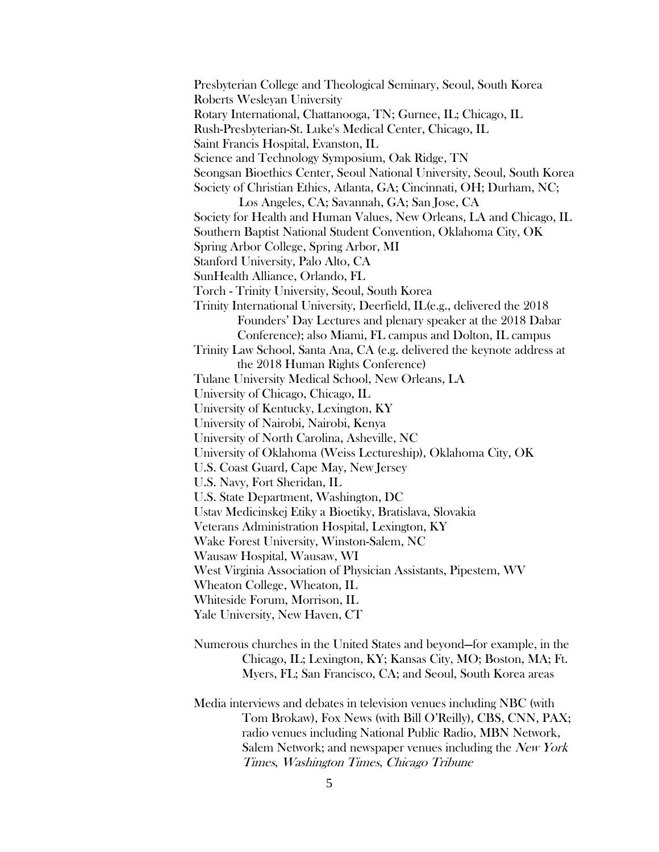Presbyterian College and Theological Seminary, Seoul, South Korea Roberts Wesleyan University Rotary International, Chattanooga, TN; Gurnee, IL; Chicago, IL Rush-Presbyterian-St. Luke's Medical Center, Chicago, IL Saint Francis Hospital, Evanston, IL Science and Technology Symposium, Oak Ridge, TN Seongsan Bioethics Center, Seoul National University, Seoul, South Korea Society of Christian Ethics, Atlanta, GA; Cincinnati, OH; Durham, NC; Los Angeles, CA; Savannah, GA; San Jose, CA Society for Health and Human Values, New Orleans, LA and Chicago, IL Southern Baptist National Student Convention, Oklahoma City, OK Spring Arbor College, Spring Arbor, MI Stanford University, Palo Alto, CA SunHealth Alliance, Orlando, FL Torch - Trinity University, Seoul, South Korea Trinity International University, Deerfield, IL(e.g., delivered the 2018 Founders' Day Lectures and plenary speaker at the 2018 Dabar Conference); also Miami, FL campus and Dolton, IL campus Trinity Law School, Santa Ana, CA (e.g. delivered the keynote address at the 2018 Human Rights Conference) Tulane University Medical School, New Orleans, LA University of Chicago, Chicago, IL University of Kentucky, Lexington, KY University of Nairobi, Nairobi, Kenya University of North Carolina, Asheville, NC University of Oklahoma (Weiss Lectureship), Oklahoma City, OK U.S. Coast Guard, Cape May, New Jersey U.S. Navy, Fort Sheridan, IL U.S. State Department, Washington, DC Ustav Medicinskej Etiky a Bioetiky, Bratislava, Slovakia Veterans Administration Hospital, Lexington, KY Wake Forest University, Winston-Salem, NC Wausaw Hospital, Wausaw, WI West Virginia Association of Physician Assistants, Pipestem, WV Wheaton College, Wheaton, IL Whiteside Forum, Morrison, IL Yale University, New Haven, CT

- Numerous churches in the United States and beyond—for example, in the Chicago, IL; Lexington, KY; Kansas City, MO; Boston, MA; Ft. Myers, FL; San Francisco, CA; and Seoul, South Korea areas
- Media interviews and debates in television venues including NBC (with Tom Brokaw), Fox News (with Bill O'Reilly), CBS, CNN, PAX; radio venues including National Public Radio, MBN Network, Salem Network; and newspaper venues including the New York Times, Washington Times, Chicago Tribune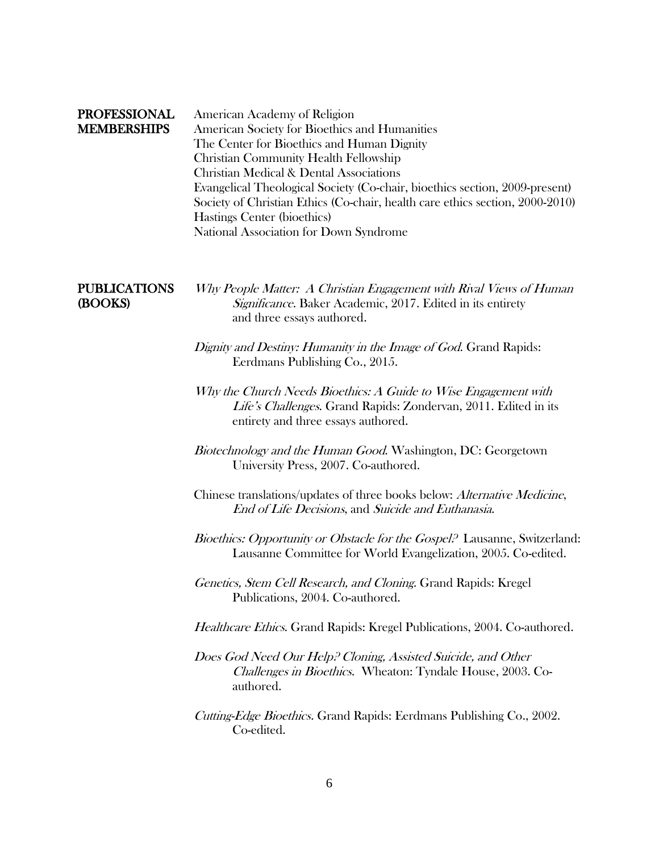| <b>PROFESSIONAL</b><br><b>MEMBERSHIPS</b> | American Academy of Religion<br>American Society for Bioethics and Humanities<br>The Center for Bioethics and Human Dignity<br><b>Christian Community Health Fellowship</b><br><b>Christian Medical &amp; Dental Associations</b><br>Evangelical Theological Society (Co-chair, bioethics section, 2009-present)<br>Society of Christian Ethics (Co-chair, health care ethics section, 2000-2010)<br>Hastings Center (bioethics)<br>National Association for Down Syndrome |
|-------------------------------------------|----------------------------------------------------------------------------------------------------------------------------------------------------------------------------------------------------------------------------------------------------------------------------------------------------------------------------------------------------------------------------------------------------------------------------------------------------------------------------|
| <b>PUBLICATIONS</b><br>(BOOKS)            | Why People Matter: A Christian Engagement with Rival Views of Human<br>Significance. Baker Academic, 2017. Edited in its entirety<br>and three essays authored.                                                                                                                                                                                                                                                                                                            |
|                                           | Dignity and Destiny: Humanity in the Image of God. Grand Rapids:<br>Eerdmans Publishing Co., 2015.                                                                                                                                                                                                                                                                                                                                                                         |
|                                           | Why the Church Needs Bioethics: A Guide to Wise Engagement with<br>Life's Challenges. Grand Rapids: Zondervan, 2011. Edited in its<br>entirety and three essays authored.                                                                                                                                                                                                                                                                                                  |
|                                           | Biotechnology and the Human Good. Washington, DC: Georgetown<br>University Press, 2007. Co-authored.                                                                                                                                                                                                                                                                                                                                                                       |
|                                           | Chinese translations/updates of three books below: Alternative Medicine,<br>End of Life Decisions, and Suicide and Euthanasia.                                                                                                                                                                                                                                                                                                                                             |
|                                           | <i>Bioethics: Opportunity or Obstacle for the Gospel</i> ? Lausanne, Switzerland:<br>Lausanne Committee for World Evangelization, 2005. Co-edited.                                                                                                                                                                                                                                                                                                                         |
|                                           | Genetics, Stem Cell Research, and Cloning. Grand Rapids: Kregel<br>Publications, 2004. Co-authored.                                                                                                                                                                                                                                                                                                                                                                        |
|                                           | Healthcare Ethics. Grand Rapids: Kregel Publications, 2004. Co-authored.                                                                                                                                                                                                                                                                                                                                                                                                   |
|                                           | Does God Need Our Help. <sup>2</sup> Cloning, Assisted Suicide, and Other<br>Challenges in Bioethics. Wheaton: Tyndale House, 2003. Co-<br>authored.                                                                                                                                                                                                                                                                                                                       |
|                                           | Cutting-Edge Bioethics. Grand Rapids: Eerdmans Publishing Co., 2002.<br>Co-edited.                                                                                                                                                                                                                                                                                                                                                                                         |
|                                           |                                                                                                                                                                                                                                                                                                                                                                                                                                                                            |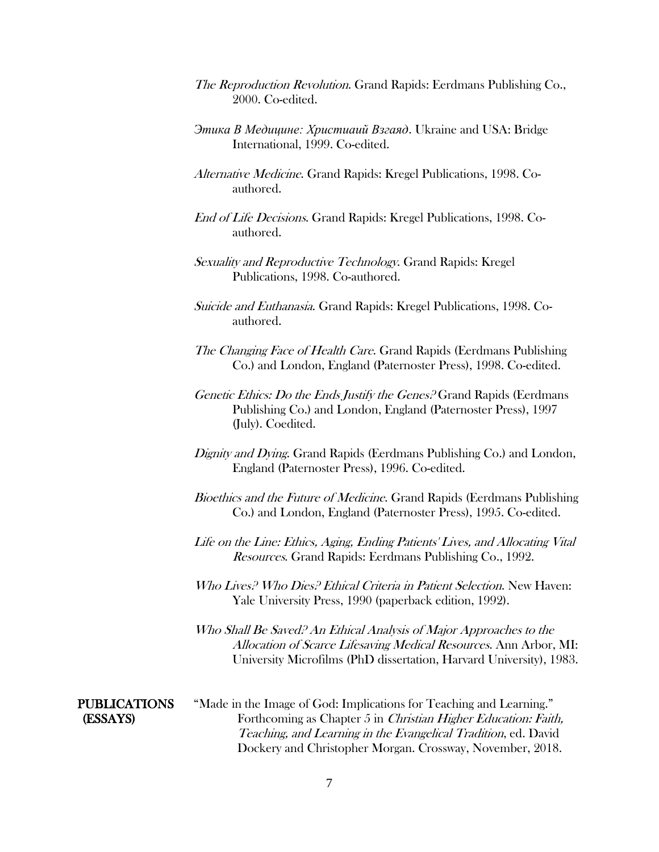- The Reproduction Revolution. Grand Rapids: Eerdmans Publishing Co., 2000. Co-edited.
- *[Этика В Медицине: Христиаий Взгаяд](http://www.cbhd.org/xcart/customer/product.php?productid=20244&cat=268&page=2)*. Ukraine and USA: Bridge International, 1999. Co-edited.
- Alternative Medicine. Grand Rapids: Kregel Publications, 1998. Coauthored.
- End of Life Decisions. Grand Rapids: Kregel Publications, 1998. Coauthored.
- Sexuality and Reproductive Technology. Grand Rapids: Kregel Publications, 1998. Co-authored.
- Suicide and Euthanasia. Grand Rapids: Kregel Publications, 1998. Coauthored.
- The Changing Face of Health Care. Grand Rapids (Eerdmans Publishing Co.) and London, England (Paternoster Press), 1998. Co-edited.
- Genetic Ethics: Do the Ends Justify the Genes? Grand Rapids (Eerdmans Publishing Co.) and London, England (Paternoster Press), 1997 (July). Coedited.
- Dignity and Dying. Grand Rapids (Eerdmans Publishing Co.) and London, England (Paternoster Press), 1996. Co-edited.
- Bioethics and the Future of Medicine. Grand Rapids (Eerdmans Publishing Co.) and London, England (Paternoster Press), 1995. Co-edited.
- Life on the Line: Ethics, Aging, Ending Patients' Lives, and Allocating Vital Resources. Grand Rapids: Eerdmans Publishing Co., 1992.
- Who Lives? Who Dies? Ethical Criteria in Patient Selection. New Haven: Yale University Press, 1990 (paperback edition, 1992).
- Who Shall Be Saved? An Ethical Analysis of Major Approaches to the Allocation of Scarce Lifesaving Medical Resources. Ann Arbor, MI: University Microfilms (PhD dissertation, Harvard University), 1983.

PUBLICATIONS "Made in the Image of God: Implications for Teaching and Learning." (ESSAYS) Forthcoming as Chapter 5 in Christian Higher Education: Faith, Teaching, and Learning in the Evangelical Tradition, ed. David Dockery and Christopher Morgan. Crossway, November, 2018.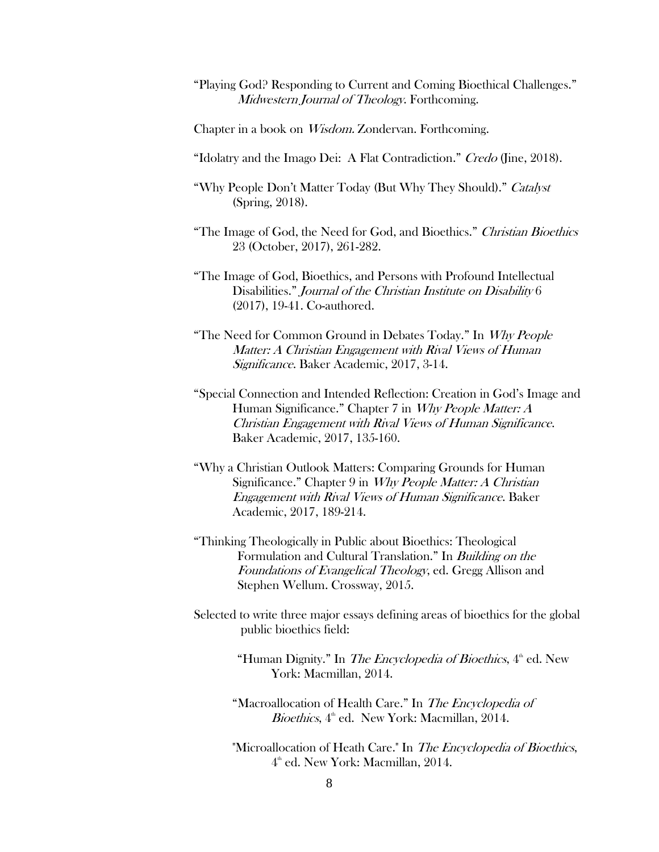- "Playing God? Responding to Current and Coming Bioethical Challenges." Midwestern Journal of Theology. Forthcoming.
- Chapter in a book on Wisdom. Zondervan. Forthcoming.
- "Idolatry and the Imago Dei: A Flat Contradiction." Credo (Jine, 2018).
- "Why People Don't Matter Today (But Why They Should)." Catalyst (Spring, 2018).
- "The Image of God, the Need for God, and Bioethics." Christian Bioethics 23 (October, 2017), 261-282.
- "The Image of God, Bioethics, and Persons with Profound Intellectual Disabilities." Journal of the Christian Institute on Disability 6 (2017), 19-41. Co-authored.
- "The Need for Common Ground in Debates Today." In Why People Matter: A Christian Engagement with Rival Views of Human Significance. Baker Academic, 2017, 3-14.
- "Special Connection and Intended Reflection: Creation in God's Image and Human Significance." Chapter 7 in Why People Matter: A Christian Engagement with Rival Views of Human Significance. Baker Academic, 2017, 135-160.
- "Why a Christian Outlook Matters: Comparing Grounds for Human Significance." Chapter 9 in *Why People Matter: A Christian* Engagement with Rival Views of Human Significance. Baker Academic, 2017, 189-214.
- "Thinking Theologically in Public about Bioethics: Theological Formulation and Cultural Translation." In Building on the Foundations of Evangelical Theology, ed. Gregg Allison and Stephen Wellum. Crossway, 2015.
- Selected to write three major essays defining areas of bioethics for the global public bioethics field:
	- "Human Dignity." In *The Encyclopedia of Bioethics*, 4<sup>th</sup> ed. New York: Macmillan, 2014.
	- "Macroallocation of Health Care." In The Encyclopedia of Bioethics, 4<sup>th</sup> ed. New York: Macmillan, 2014.
	- "Microallocation of Heath Care." In The Encyclopedia of Bioethics,  $4<sup>th</sup>$  ed. New York: Macmillan, 2014.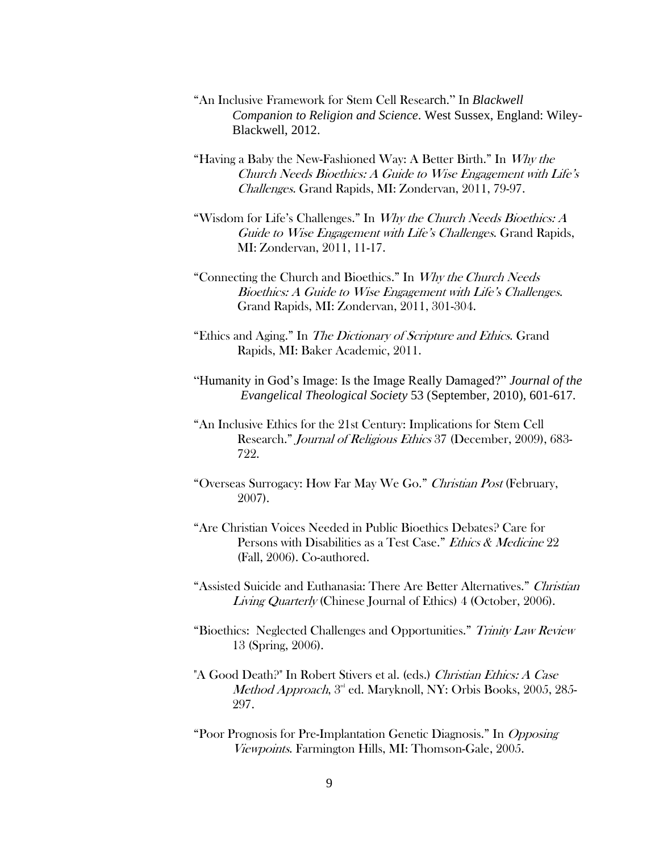- "An Inclusive Framework for Stem Cell Research." In *Blackwell Companion to Religion and Science*. West Sussex, England: Wiley-Blackwell, 2012.
- "Having a Baby the New-Fashioned Way: A Better Birth." In Why the Church Needs Bioethics: A Guide to Wise Engagement with Life's Challenges. Grand Rapids, MI: Zondervan, 2011, 79-97.
- "Wisdom for Life's Challenges." In *Why the Church Needs Bioethics: A* Guide to Wise Engagement with Life's Challenges. Grand Rapids, MI: Zondervan, 2011, 11-17.
- "Connecting the Church and Bioethics." In Why the Church Needs Bioethics: A Guide to Wise Engagement with Life's Challenges. Grand Rapids, MI: Zondervan, 2011, 301-304.
- "Ethics and Aging." In The Dictionary of Scripture and Ethics. Grand Rapids, MI: Baker Academic, 2011.
- "Humanity in God's Image: Is the Image Really Damaged?" *Journal of the Evangelical Theological Society* 53 (September, 2010), 601-617.
- "An Inclusive Ethics for the 21st Century: Implications for Stem Cell Research." *Journal of Religious Ethics* 37 (December, 2009), 683-722.
- "Overseas Surrogacy: How Far May We Go." Christian Post (February, 2007).
- "Are Christian Voices Needed in Public Bioethics Debates? Care for Persons with Disabilities as a Test Case." *Ethics & Medicine* 22 (Fall, 2006). Co-authored.
- "Assisted Suicide and Euthanasia: There Are Better Alternatives." Christian Living Quarterly (Chinese Journal of Ethics) 4 (October, 2006).
- "Bioethics: Neglected Challenges and Opportunities." Trinity Law Review 13 (Spring, 2006).
- "A Good Death?" In Robert Stivers et al. (eds.) Christian Ethics: A Case Method Approach,  $3<sup>rd</sup>$  ed. Maryknoll, NY: Orbis Books, 2005, 285-297.
- "Poor Prognosis for Pre-Implantation Genetic Diagnosis." In Opposing Viewpoints. Farmington Hills, MI: Thomson-Gale, 2005.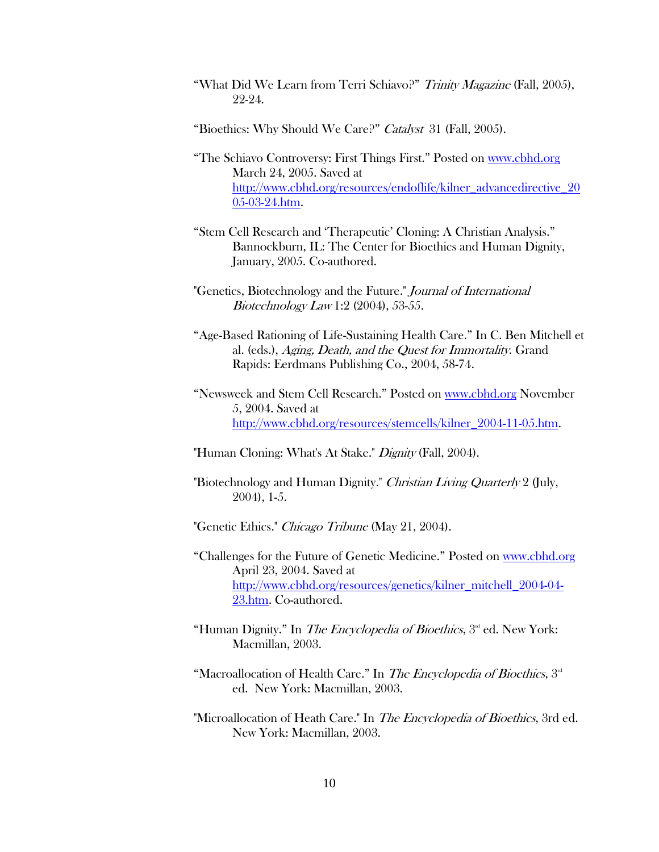- "What Did We Learn from Terri Schiavo?" Trinity Magazine (Fall, 2005), 22-24.
- "Bioethics: Why Should We Care?" Catalyst 31 (Fall, 2005).
- "The Schiavo Controversy: First Things First." Posted on [www.cbhd.org](http://www.cbhd.org/) March 24, 2005. Saved at [http://www.cbhd.org/resources/endoflife/kilner\\_advancedirective\\_20](http://www.cbhd.org/resources/endoflife/kilner_advancedirective_2005-03-24.htm) [05-03-24.htm.](http://www.cbhd.org/resources/endoflife/kilner_advancedirective_2005-03-24.htm)
- "Stem Cell Research and 'Therapeutic' Cloning: A Christian Analysis." Bannockburn, IL: The Center for Bioethics and Human Dignity, January, 2005. Co-authored.
- "Genetics, Biotechnology and the Future." Journal of International Biotechnology Law 1:2 (2004), 53-55.
- "Age-Based Rationing of Life-Sustaining Health Care." In C. Ben Mitchell et al. (eds.), Aging, Death, and the Quest for Immortality. Grand Rapids: Eerdmans Publishing Co., 2004, 58-74.
- "Newsweek and Stem Cell Research." Posted on [www.cbhd.org](http://www.cbhd.org/) November 5, 2004. Saved at [http://www.cbhd.org/resources/stemcells/kilner\\_2004-11-05.htm.](http://www.cbhd.org/resources/stemcells/kilner_2004-11-05.htm)
- "Human Cloning: What's At Stake." *Dignity* (Fall, 2004).
- "Biotechnology and Human Dignity." Christian Living Quarterly 2 (July, 2004), 1-5.
- "Genetic Ethics." Chicago Tribune (May 21, 2004).
- "Challenges for the Future of Genetic Medicine." Posted on [www.cbhd.org](http://www.cbhd.org/) April 23, 2004. Saved at [http://www.cbhd.org/resources/genetics/kilner\\_mitchell\\_2004-04-](http://www.cbhd.org/resources/genetics/kilner_mitchell_2004-04-23.htm) [23.htm.](http://www.cbhd.org/resources/genetics/kilner_mitchell_2004-04-23.htm) Co-authored.
- "Human Dignity." In The Encyclopedia of Bioethics,  $3<sup>rd</sup>$  ed. New York: Macmillan, 2003.
- "Macroallocation of Health Care." In The Encyclopedia of Bioethics, 3<sup>rd</sup> ed. New York: Macmillan, 2003.
- "Microallocation of Heath Care." In The Encyclopedia of Bioethics, 3rd ed. New York: Macmillan, 2003.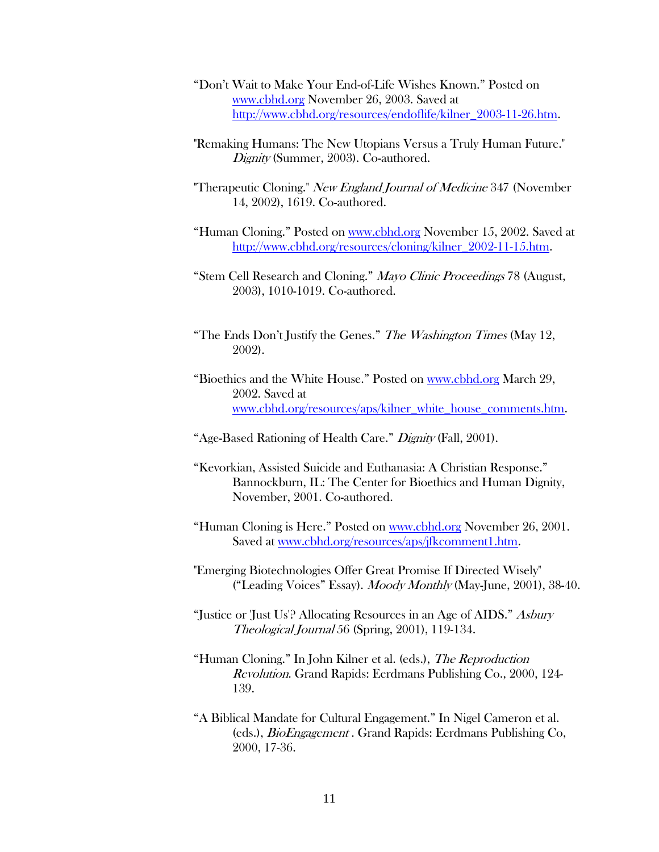- "Don't Wait to Make Your End-of-Life Wishes Known." Posted on [www.cbhd.org](http://www.cbhd.org/) November 26, 2003. Saved at [http://www.cbhd.org/resources/endoflife/kilner\\_2003-11-26.htm.](http://www.cbhd.org/resources/endoflife/kilner_2003-11-26.htm)
- "Remaking Humans: The New Utopians Versus a Truly Human Future." Dignity (Summer, 2003). Co-authored.
- "Therapeutic Cloning." New England Journal of Medicine 347 (November 14, 2002), 1619. Co-authored.
- "Human Cloning." Posted on [www.cbhd.org](http://www.cbhd.org/) November 15, 2002. Saved at [http://www.cbhd.org/resources/cloning/kilner\\_2002-11-15.htm.](http://www.cbhd.org/resources/cloning/kilner_2002-11-15.htm)
- "Stem Cell Research and Cloning." Mayo Clinic Proceedings 78 (August, 2003), 1010-1019. Co-authored.
- "The Ends Don't Justify the Genes." The Washington Times (May 12, 2002).
- "Bioethics and the White House." Posted on www.cbhd.org March 29, 2002. Saved at www.cbhd.org/resources/aps/kilner\_white\_house\_comments.htm.
- "Age-Based Rationing of Health Care." Dignity (Fall, 2001).
- "Kevorkian, Assisted Suicide and Euthanasia: A Christian Response." Bannockburn, IL: The Center for Bioethics and Human Dignity, November, 2001. Co-authored.
- "Human Cloning is Here." Posted on www.cbhd.org November 26, 2001. Saved at [www.cbhd.org/resources/aps/jfkcomment1.htm.](http://www.cbhd.org/resources/aps/jfkcomment1.htm)
- "Emerging Biotechnologies Offer Great Promise If Directed Wisely" ("Leading Voices" Essay). Moody Monthly (May-June, 2001), 38-40.
- "Justice or Just Us'? Allocating Resources in an Age of AIDS." Asbury Theological Journal 56 (Spring, 2001), 119-134.
- "Human Cloning." In John Kilner et al. (eds.), The Reproduction Revolution. Grand Rapids: Eerdmans Publishing Co., 2000, 124- 139.
- "A Biblical Mandate for Cultural Engagement." In Nigel Cameron et al. (eds.), BioEngagement . Grand Rapids: Eerdmans Publishing Co, 2000, 17-36.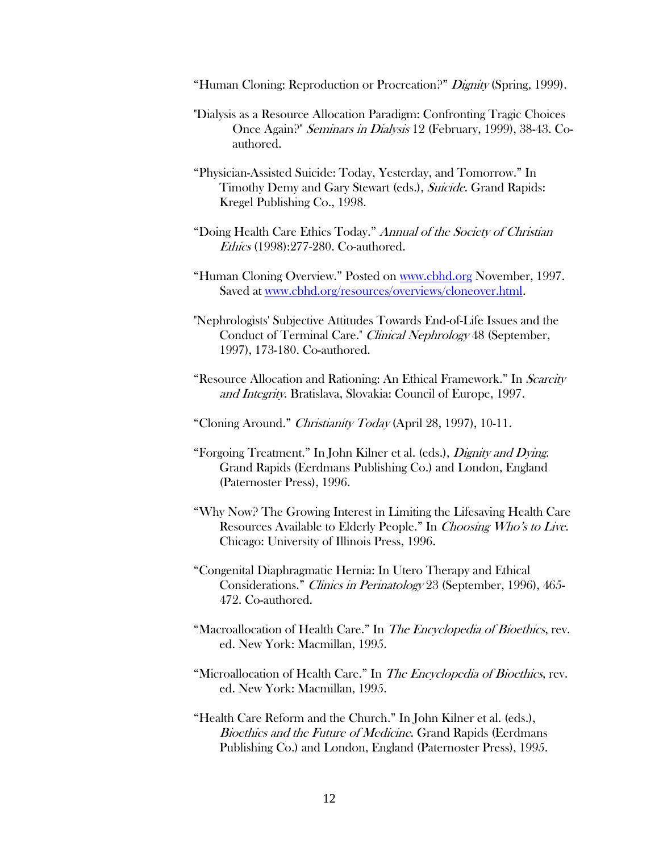"Human Cloning: Reproduction or Procreation?" Dignity (Spring, 1999).

- "Dialysis as a Resource Allocation Paradigm: Confronting Tragic Choices Once Again?" Seminars in Dialysis 12 (February, 1999), 38-43. Coauthored.
- "Physician-Assisted Suicide: Today, Yesterday, and Tomorrow." In Timothy Demy and Gary Stewart (eds.), Suicide. Grand Rapids: Kregel Publishing Co., 1998.
- "Doing Health Care Ethics Today." Annual of the Society of Christian *Ethics* (1998):277-280. Co-authored.
- "Human Cloning Overview." Posted on www.cbhd.org November, 1997. Saved at www.cbhd.org/resources/overviews/cloneover.html.
- "Nephrologists' Subjective Attitudes Towards End-of-Life Issues and the Conduct of Terminal Care." *Clinical Nephrology* 48 (September, 1997), 173-180. Co-authored.
- "Resource Allocation and Rationing: An Ethical Framework." In Scarcity and Integrity. Bratislava, Slovakia: Council of Europe, 1997.
- "Cloning Around." Christianity Today (April 28, 1997), 10-11.
- "Forgoing Treatment." In John Kilner et al. (eds.), Dignity and Dying. Grand Rapids (Eerdmans Publishing Co.) and London, England (Paternoster Press), 1996.
- "Why Now? The Growing Interest in Limiting the Lifesaving Health Care Resources Available to Elderly People." In Choosing Who's to Live. Chicago: University of Illinois Press, 1996.
- "Congenital Diaphragmatic Hernia: In Utero Therapy and Ethical Considerations." Clinics in Perinatology 23 (September, 1996), 465- 472. Co-authored.
- "Macroallocation of Health Care." In The Encyclopedia of Bioethics, rev. ed. New York: Macmillan, 1995.
- "Microallocation of Health Care." In The Encyclopedia of Bioethics, rev. ed. New York: Macmillan, 1995.
- "Health Care Reform and the Church." In John Kilner et al. (eds.), Bioethics and the Future of Medicine. Grand Rapids (Eerdmans Publishing Co.) and London, England (Paternoster Press), 1995.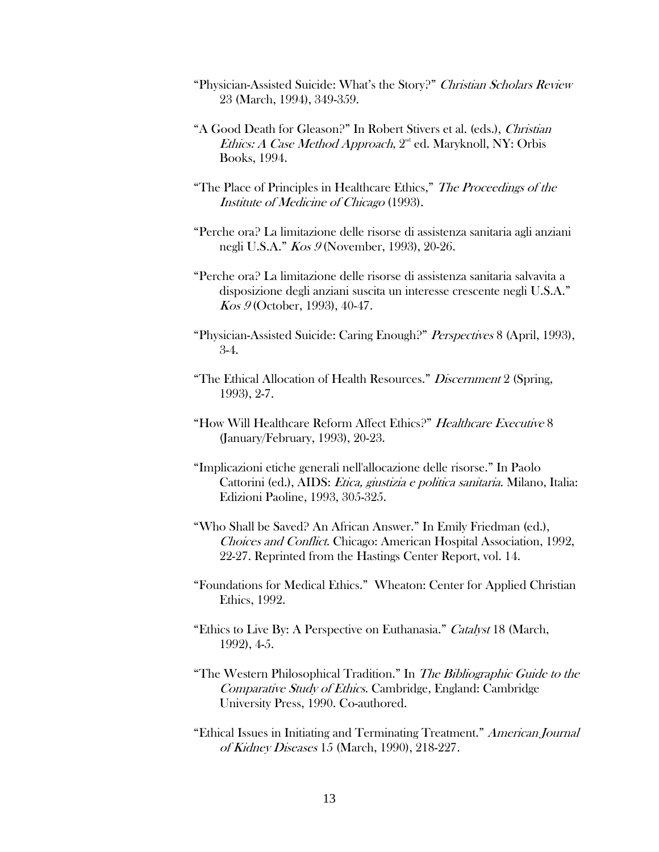- "Physician-Assisted Suicide: What's the Story?" Christian Scholars Review 23 (March, 1994), 349-359.
- "A Good Death for Gleason?" In Robert Stivers et al. (eds.), Christian Ethics: A Case Method Approach,  $2<sup>nd</sup>$  ed. Maryknoll, NY: Orbis Books, 1994.
- "The Place of Principles in Healthcare Ethics," The Proceedings of the Institute of Medicine of Chicago (1993).
- "Perche ora? La limitazione delle risorse di assistenza sanitaria agli anziani negli U.S.A." Kos 9 (November, 1993), 20-26.
- "Perche ora? La limitazione delle risorse di assistenza sanitaria salvavita a disposizione degli anziani suscita un interesse crescente negli U.S.A." Kos 9 (October, 1993), 40-47.
- "Physician-Assisted Suicide: Caring Enough?" Perspectives 8 (April, 1993), 3-4.
- "The Ethical Allocation of Health Resources." Discernment 2 (Spring, 1993), 2-7.
- "How Will Healthcare Reform Affect Ethics?" Healthcare Executive 8 (January/February, 1993), 20-23.
- "Implicazioni etiche generali nell'allocazione delle risorse." In Paolo Cattorini (ed.), AIDS: Etica, giustizia e politica sanitaria. Milano, Italia: Edizioni Paoline, 1993, 305-325.
- "Who Shall be Saved? An African Answer." In Emily Friedman (ed.), Choices and Conflict. Chicago: American Hospital Association, 1992, 22-27. Reprinted from the Hastings Center Report, vol. 14.
- "Foundations for Medical Ethics." Wheaton: Center for Applied Christian Ethics, 1992.
- "Ethics to Live By: A Perspective on Euthanasia." Catalyst 18 (March, 1992), 4-5.
- "The Western Philosophical Tradition." In The Bibliographic Guide to the Comparative Study of Ethics. Cambridge, England: Cambridge University Press, 1990. Co-authored.
- "Ethical Issues in Initiating and Terminating Treatment." American Journal of Kidney Diseases 15 (March, 1990), 218-227.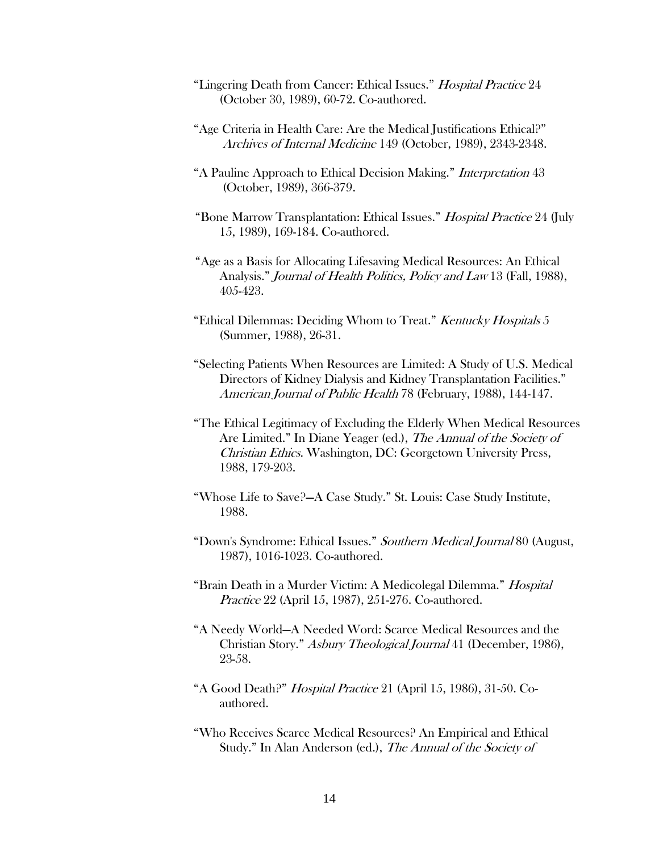- "Lingering Death from Cancer: Ethical Issues." Hospital Practice 24 (October 30, 1989), 60-72. Co-authored.
- "Age Criteria in Health Care: Are the Medical Justifications Ethical?" Archives of Internal Medicine 149 (October, 1989), 2343-2348.
- "A Pauline Approach to Ethical Decision Making." *Interpretation* 43 (October, 1989), 366-379.
- "Bone Marrow Transplantation: Ethical Issues." Hospital Practice 24 (July 15, 1989), 169-184. Co-authored.
- "Age as a Basis for Allocating Lifesaving Medical Resources: An Ethical Analysis." Journal of Health Politics, Policy and Law 13 (Fall, 1988), 405-423.
- "Ethical Dilemmas: Deciding Whom to Treat." Kentucky Hospitals 5 (Summer, 1988), 26-31.
- "Selecting Patients When Resources are Limited: A Study of U.S. Medical Directors of Kidney Dialysis and Kidney Transplantation Facilities." American Journal of Public Health 78 (February, 1988), 144-147.
- "The Ethical Legitimacy of Excluding the Elderly When Medical Resources Are Limited." In Diane Yeager (ed.), The Annual of the Society of Christian Ethics. Washington, DC: Georgetown University Press, 1988, 179-203.
- "Whose Life to Save?—A Case Study." St. Louis: Case Study Institute, 1988.
- "Down's Syndrome: Ethical Issues." Southern Medical Journal 80 (August, 1987), 1016-1023. Co-authored.
- "Brain Death in a Murder Victim: A Medicolegal Dilemma." Hospital Practice 22 (April 15, 1987), 251-276. Co-authored.
- "A Needy World—A Needed Word: Scarce Medical Resources and the Christian Story." Asbury Theological Journal 41 (December, 1986), 23-58.
- "A Good Death?" Hospital Practice 21 (April 15, 1986), 31-50. Coauthored.
- "Who Receives Scarce Medical Resources? An Empirical and Ethical Study." In Alan Anderson (ed.), The Annual of the Society of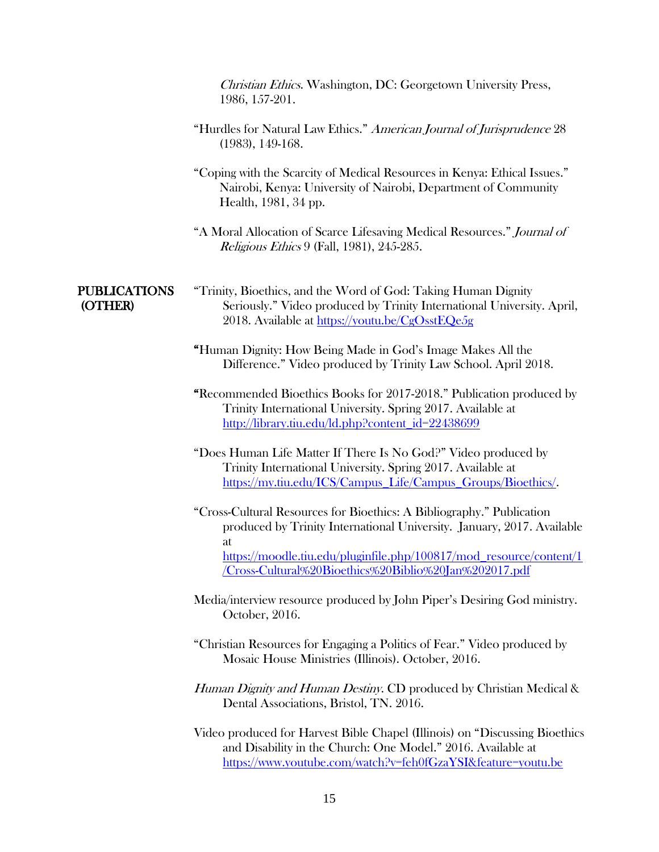|                                | Christian Ethics. Washington, DC: Georgetown University Press,<br>1986, 157-201.                                                                                                                            |
|--------------------------------|-------------------------------------------------------------------------------------------------------------------------------------------------------------------------------------------------------------|
|                                | "Hurdles for Natural Law Ethics." American Journal of Jurisprudence 28<br>$(1983), 149-168.$                                                                                                                |
|                                | "Coping with the Scarcity of Medical Resources in Kenya: Ethical Issues."<br>Nairobi, Kenya: University of Nairobi, Department of Community<br>Health, 1981, 34 pp.                                         |
|                                | "A Moral Allocation of Scarce Lifesaving Medical Resources." Journal of<br><i>Religious Ethics</i> 9 (Fall, 1981), 245-285.                                                                                 |
| <b>PUBLICATIONS</b><br>(OTHER) | "Trinity, Bioethics, and the Word of God: Taking Human Dignity<br>Seriously." Video produced by Trinity International University. April,<br>2018. Available at https://youtu.be/CgOsstEQe5g                 |
|                                | "Human Dignity: How Being Made in God's Image Makes All the<br>Difference." Video produced by Trinity Law School. April 2018.                                                                               |
|                                | "Recommended Bioethics Books for 2017-2018." Publication produced by<br>Trinity International University. Spring 2017. Available at<br>http://library.tiu.edu/ld.php?content_id=22438699                    |
|                                | "Does Human Life Matter If There Is No God?" Video produced by<br>Trinity International University. Spring 2017. Available at<br>https://my.tiu.edu/ICS/Campus_Life/Campus_Groups/Bioethics/.               |
|                                | "Cross-Cultural Resources for Bioethics: A Bibliography." Publication<br>produced by Trinity International University. January, 2017. Available<br>at                                                       |
|                                | https://moodle.tiu.edu/pluginfile.php/100817/mod_resource/content/1<br><u>/Cross-Cultural%20Bioethics%20Biblio%20Jan%202017.pdf</u>                                                                         |
|                                | Media/interview resource produced by John Piper's Desiring God ministry.<br>October, 2016.                                                                                                                  |
|                                | "Christian Resources for Engaging a Politics of Fear." Video produced by<br>Mosaic House Ministries (Illinois). October, 2016.                                                                              |
|                                | Human Dignity and Human Destiny. CD produced by Christian Medical &<br>Dental Associations, Bristol, TN. 2016.                                                                                              |
|                                | Video produced for Harvest Bible Chapel (Illinois) on "Discussing Bioethics<br>and Disability in the Church: One Model." 2016. Available at<br>https://www.youtube.com/watch?v=feh0fGzaYSI&feature=youtu.be |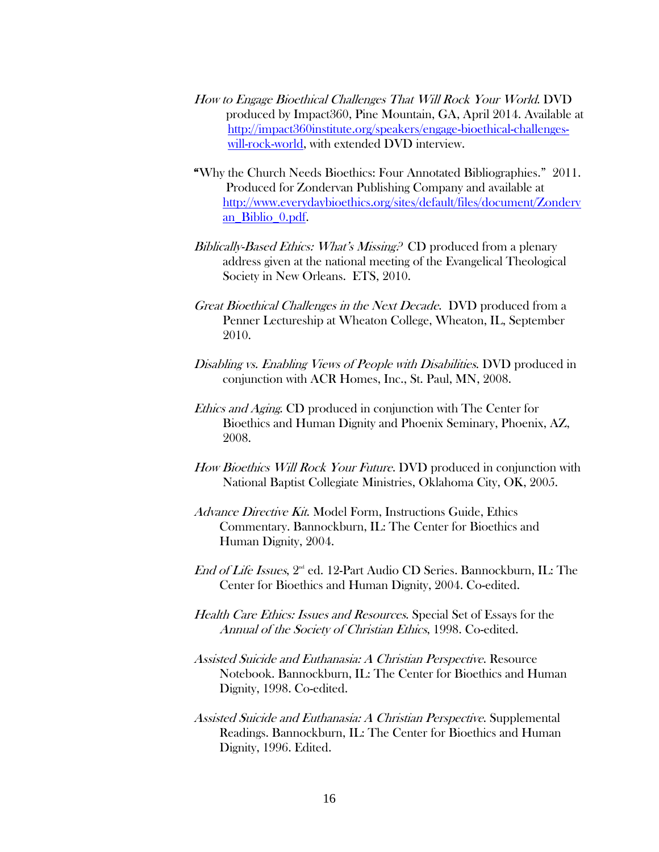- How to Engage Bioethical Challenges That Will Rock Your World. DVD produced by Impact360, Pine Mountain, GA, April 2014. Available at [http://impact360institute.org/speakers/engage-bioethical-challenges](http://impact360institute.org/speakers/engage-bioethical-challenges-will-rock-world)[will-rock-world,](http://impact360institute.org/speakers/engage-bioethical-challenges-will-rock-world) with extended DVD interview.
- "Why the Church Needs Bioethics: Four Annotated Bibliographies." 2011. Produced for Zondervan Publishing Company and available at [http://www.everydaybioethics.org/sites/default/files/document/Zonderv](http://www.everydaybioethics.org/sites/default/files/document/Zondervan_Biblio_0.pdf) [an\\_Biblio\\_0.pdf.](http://www.everydaybioethics.org/sites/default/files/document/Zondervan_Biblio_0.pdf)
- Biblically-Based Ethics: What's Missing? CD produced from a plenary address given at the national meeting of the Evangelical Theological Society in New Orleans. ETS, 2010.
- Great Bioethical Challenges in the Next Decade. DVD produced from a Penner Lectureship at Wheaton College, Wheaton, IL, September 2010.
- Disabling vs. Enabling Views of People with Disabilities. DVD produced in conjunction with ACR Homes, Inc., St. Paul, MN, 2008.
- Ethics and Aging. CD produced in conjunction with The Center for Bioethics and Human Dignity and Phoenix Seminary, Phoenix, AZ, 2008.
- How Bioethics Will Rock Your Future. DVD produced in conjunction with National Baptist Collegiate Ministries, Oklahoma City, OK, 2005.
- Advance Directive Kit. Model Form, Instructions Guide, Ethics Commentary. Bannockburn, IL: The Center for Bioethics and Human Dignity, 2004.
- End of Life Issues, 2<sup>nd</sup> ed. 12-Part Audio CD Series. Bannockburn, IL: The Center for Bioethics and Human Dignity, 2004. Co-edited.
- Health Care Ethics: Issues and Resources. Special Set of Essays for the Annual of the Society of Christian Ethics, 1998. Co-edited.
- Assisted Suicide and Euthanasia: A Christian Perspective. Resource Notebook. Bannockburn, IL: The Center for Bioethics and Human Dignity, 1998. Co-edited.
- Assisted Suicide and Euthanasia: A Christian Perspective. Supplemental Readings. Bannockburn, IL: The Center for Bioethics and Human Dignity, 1996. Edited.